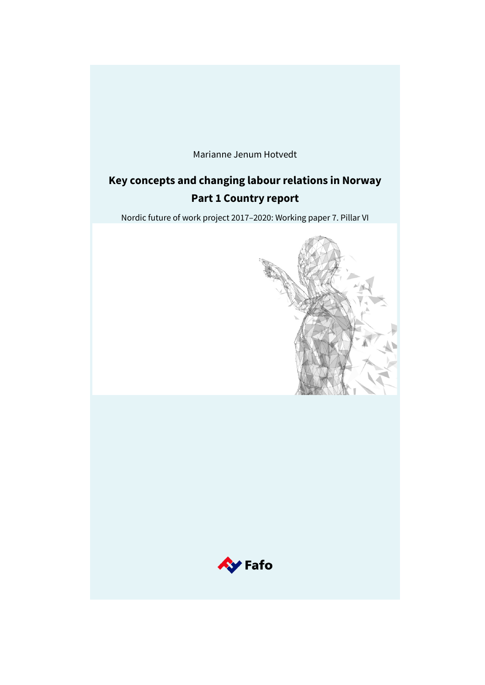

# **Key concepts and changing labour relations in Norway Part 1 Country report**

Nordic future of work project 2017–2020: Working paper 7. Pillar VI



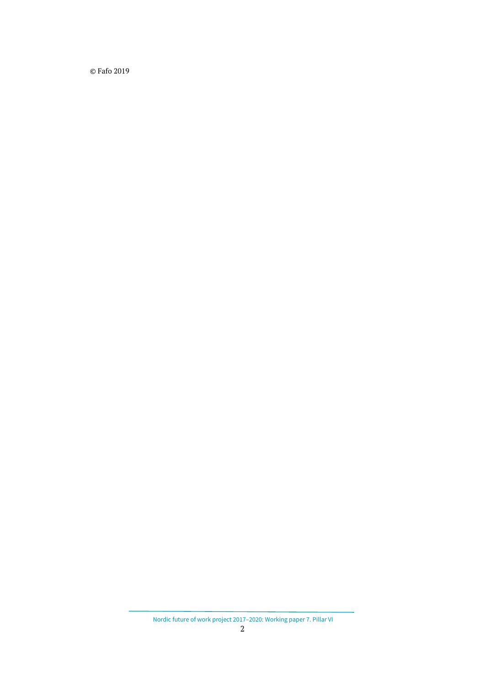© Fafo 2019

Nordic future of work project 2017–2020: Working paper 7. Pillar VI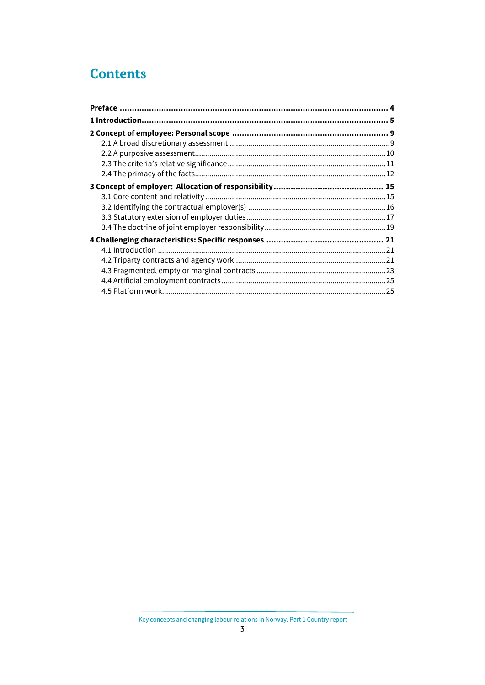# **Contents**

Key concepts and changing labour relations in Norway. Part 1 Country report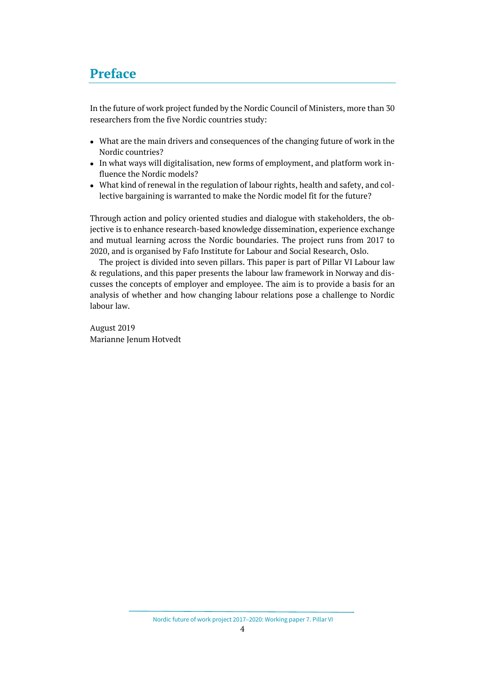## <span id="page-3-0"></span>**Preface**

In the future of work project funded by the Nordic Council of Ministers, more than 30 researchers from the five Nordic countries study:

- What are the main drivers and consequences of the changing future of work in the Nordic countries?
- In what ways will digitalisation, new forms of employment, and platform work influence the Nordic models?
- What kind of renewal in the regulation of labour rights, health and safety, and collective bargaining is warranted to make the Nordic model fit for the future?

Through action and policy oriented studies and dialogue with stakeholders, the objective is to enhance research-based knowledge dissemination, experience exchange and mutual learning across the Nordic boundaries. The project runs from 2017 to 2020, and is organised by Fafo Institute for Labour and Social Research, Oslo.

The project is divided into seven pillars. This paper is part of Pillar VI Labour law & regulations, and this paper presents the labour law framework in Norway and discusses the concepts of employer and employee. The aim is to provide a basis for an analysis of whether and how changing labour relations pose a challenge to Nordic labour law.

August 2019 Marianne Jenum Hotvedt

Nordic future of work project 2017–2020: Working paper 7. Pillar VI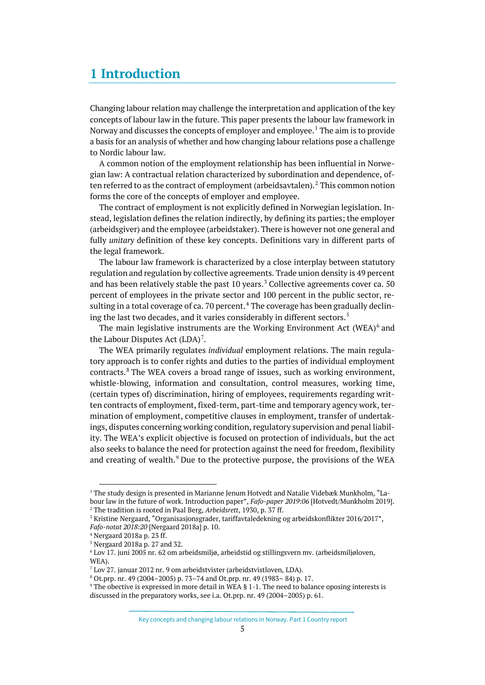## <span id="page-4-0"></span>**1 Introduction**

Changing labour relation may challenge the interpretation and application of the key concepts of labour law in the future. This paper presents the labour law framework in Norway and discusses the concepts of employer and employee.<sup>[1](#page-4-1)</sup> The aim is to provide a basis for an analysis of whether and how changing labour relations pose a challenge to Nordic labour law.

A common notion of the employment relationship has been influential in Norwegian law: A contractual relation characterized by subordination and dependence, of-ten referred to as the contract of employment (arbeidsavtalen).<sup>[2](#page-4-2)</sup> This common notion forms the core of the concepts of employer and employee.

The contract of employment is not explicitly defined in Norwegian legislation. Instead, legislation defines the relation indirectly, by defining its parties; the employer (arbeidsgiver) and the employee (arbeidstaker). There is however not one general and fully *unitary* definition of these key concepts. Definitions vary in different parts of the legal framework.

The labour law framework is characterized by a close interplay between statutory regulation and regulation by collective agreements. Trade union density is 49 percent and has been relatively stable the past  $10$  years.<sup>[3](#page-4-3)</sup> Collective agreements cover ca. 50 percent of employees in the private sector and 100 percent in the public sector, re-sulting in a total coverage of ca. 70 percent.<sup>[4](#page-4-4)</sup> The coverage has been gradually declin-ing the last two decades, and it varies considerably in different sectors.<sup>[5](#page-4-5)</sup>

The main legislative instruments are the Working Environment Act  $(WEA)^6$  $(WEA)^6$  and the Labour Disputes Act  $(LDA)^7$  $(LDA)^7$ .

The WEA primarily regulates *individual* employment relations. The main regulatory approach is to confer rights and duties to the parties of individual employment contracts.[8](#page-4-8) The WEA covers a broad range of issues, such as working environment, whistle-blowing, information and consultation, control measures, working time, (certain types of) discrimination, hiring of employees, requirements regarding written contracts of employment, fixed-term, part-time and temporary agency work, termination of employment, competitive clauses in employment, transfer of undertakings, disputes concerning working condition, regulatory supervision and penal liability. The WEA's explicit objective is focused on protection of individuals, but the act also seeks to balance the need for protection against the need for freedom, flexibility and creating of wealth.<sup>[9](#page-4-9)</sup> Due to the protective purpose, the provisions of the WEA

<span id="page-4-1"></span> $1$  The study design is presented in Marianne Jenum Hotvedt and Natalie Videbæk Munkholm, "Labour law in the future of work. Introduction paper", *Fafo-paper 2019:06* [Hotvedt/Munkholm 2019].

<span id="page-4-3"></span><span id="page-4-2"></span><sup>&</sup>lt;sup>2</sup> The tradition is rooted in Paal Berg, *Arbeidsrett*, 1930, p. 37 ff.<br><sup>3</sup> Kristine Nergaard, "Organisasjonsgrader, tariffavtaledekning og arbeidskonflikter 2016/2017",

*Fafo-notat 2018:20* [Nergaard 2018a] p. 10.

<span id="page-4-4"></span><sup>4</sup> Nergaard 2018a p. 23 ff.

<span id="page-4-5"></span><sup>5</sup> Nergaard 2018a p. 27 and 32.

<span id="page-4-6"></span><sup>6</sup> Lov 17. juni 2005 nr. 62 om arbeidsmiljø, arbeidstid og stillingsvern mv. (arbeidsmiljøloven, WEA).

<span id="page-4-7"></span><sup>7</sup> Lov 27. januar 2012 nr. 9 om arbeidstvister (arbeidstvistloven, LDA).

<span id="page-4-8"></span><sup>8</sup> Ot.prp. nr. 49 (2004–2005) p. 73–74 and Ot.prp. nr. 49 (1983– 84) p. 17.

<span id="page-4-9"></span><sup>9</sup> The obective is expressed in more detail in WEA § 1-1. The need to balance oposing interests is discussed in the preparatory works, see i.a. Ot.prp. nr. 49 (2004–2005) p. 61.

Key concepts and changing labour relations in Norway. Part 1 Country report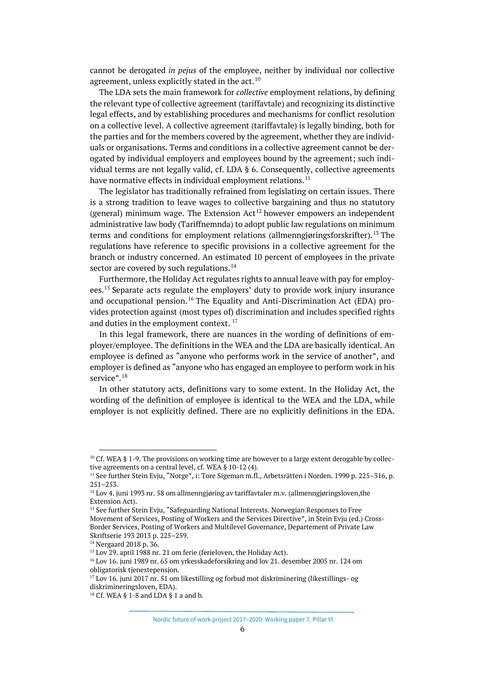cannot be derogated *in pejus* of the employee, neither by individual nor collective agreement, unless explicitly stated in the act.<sup>[10](#page-5-0)</sup>

The LDA sets the main framework for *collective* employment relations, by defining the relevant type of collective agreement (tariffavtale) and recognizing its distinctive legal effects, and by establishing procedures and mechanisms for conflict resolution on a collective level. A collective agreement (tariffavtale) is legally binding, both for the parties and for the members covered by the agreement, whether they are individuals or organisations. Terms and conditions in a collective agreement cannot be derogated by individual employers and employees bound by the agreement; such individual terms are not legally valid, cf. LDA § 6. Consequently, collective agreements have normative effects in individual employment relations.<sup>[11](#page-5-1)</sup>

The legislator has traditionally refrained from legislating on certain issues. There is a strong tradition to leave wages to collective bargaining and thus no statutory (general) minimum wage. The Extension  $Act^{12}$  $Act^{12}$  $Act^{12}$  however empowers an independent administrative law body (Tariffnemnda) to adopt public law regulations on minimum terms and conditions for employment relations (allmenngjøringsforskrifter).<sup>[13](#page-5-3)</sup> The regulations have reference to specific provisions in a collective agreement for the branch or industry concerned. An estimated 10 percent of employees in the private sector are covered by such regulations.<sup>[14](#page-5-4)</sup>

Furthermore, the Holiday Act regulates rights to annual leave with pay for employees.[15](#page-5-5) Separate acts regulate the employers' duty to provide work injury insurance and occupational pension.<sup>[16](#page-5-6)</sup> The Equality and Anti-Discrimination Act (EDA) provides protection against (most types of) discrimination and includes specified rights and duties in the employment context.<sup>[17](#page-5-7)</sup>

In this legal framework, there are nuances in the wording of definitions of employer/employee. The definitions in the WEA and the LDA are basically identical. An employee is defined as "anyone who performs work in the service of another", and employer is defined as "anyone who has engaged an employee to perform work in his service".<sup>[18](#page-5-8)</sup>

In other statutory acts, definitions vary to some extent. In the Holiday Act, the wording of the definition of employee is identical to the WEA and the LDA, while employer is not explicitly defined. There are no explicitly definitions in the EDA.

<span id="page-5-0"></span> $10$  Cf. WEA § 1-9. The provisions on working time are however to a large extent derogable by collective agreements on a central level, cf. WEA § 10-12 (4).

<span id="page-5-1"></span><sup>&</sup>lt;sup>11</sup> See further Stein Evju, "Norge", i: Tore Sigeman m.fl., Arbetsrätten i Norden. 1990 p. 225-316, p. 251–253.

<span id="page-5-2"></span> $12$  Lov 4. juni 1993 nr. 58 om allmenngjøring av tariffavtaler m.v. (allmenngjøringsloven, the Extension Act).

<span id="page-5-3"></span><sup>&</sup>lt;sup>13</sup> See further Stein Evju, "Safeguarding National Interests. Norwegian Responses to Free Movement of Services, Posting of Workers and the Services Directive", in Stein Evju (ed.) Cross-Border Services, Posting of Workers and Multilevel Governance, Departement of Private Law Skriftserie 193 2013 p. 225–259.

<span id="page-5-4"></span><sup>14</sup> Nergaard 2018 p. 36.

<span id="page-5-5"></span><sup>&</sup>lt;sup>15</sup> Lov 29, april 1988 nr. 21 om ferie (ferieloven, the Holiday Act).

<span id="page-5-6"></span><sup>&</sup>lt;sup>16</sup> Lov 16. juni 1989 nr. 65 om yrkesskadeforsikring and lov 21. desember 2005 nr. 124 om obligatorisk tjenestepensjon.

<span id="page-5-7"></span><sup>17</sup> Lov 16. juni 2017 nr. 51 om likestilling og forbud mot diskriminering (likestillings- og diskrimineringsloven, EDA).

<span id="page-5-8"></span><sup>18</sup> Cf. WEA § 1-8 and LDA § 1 a and b.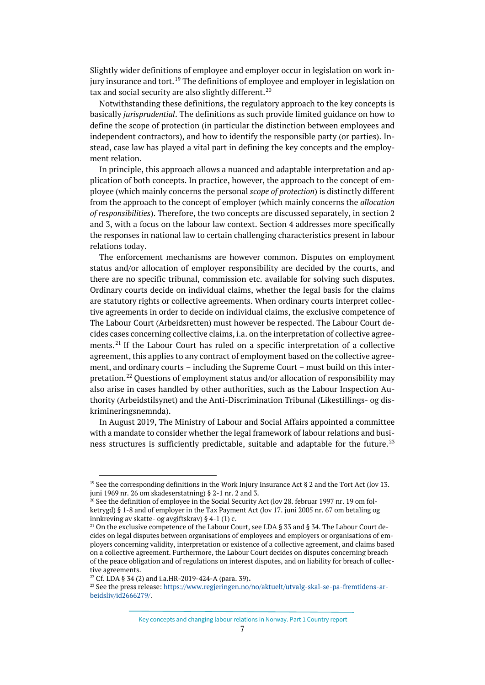Slightly wider definitions of employee and employer occur in legislation on work in-jury insurance and tort.<sup>[19](#page-6-0)</sup> The definitions of employee and employer in legislation on tax and social security are also slightly different.<sup>[20](#page-6-1)</sup>

Notwithstanding these definitions, the regulatory approach to the key concepts is basically *jurisprudential*. The definitions as such provide limited guidance on how to define the scope of protection (in particular the distinction between employees and independent contractors), and how to identify the responsible party (or parties). Instead, case law has played a vital part in defining the key concepts and the employment relation.

In principle, this approach allows a nuanced and adaptable interpretation and application of both concepts. In practice, however, the approach to the concept of employee (which mainly concerns the personal *scope of protection*) is distinctly different from the approach to the concept of employer (which mainly concerns the *allocation of responsibilities*). Therefore, the two concepts are discussed separately, in section 2 and 3, with a focus on the labour law context. Section 4 addresses more specifically the responses in national law to certain challenging characteristics present in labour relations today.

The enforcement mechanisms are however common. Disputes on employment status and/or allocation of employer responsibility are decided by the courts, and there are no specific tribunal, commission etc. available for solving such disputes. Ordinary courts decide on individual claims, whether the legal basis for the claims are statutory rights or collective agreements. When ordinary courts interpret collective agreements in order to decide on individual claims, the exclusive competence of The Labour Court (Arbeidsretten) must however be respected. The Labour Court decides cases concerning collective claims, i.a. on the interpretation of collective agree-ments.<sup>[21](#page-6-2)</sup> If the Labour Court has ruled on a specific interpretation of a collective agreement, this applies to any contract of employment based on the collective agreement, and ordinary courts – including the Supreme Court – must build on this inter-pretation.<sup>[22](#page-6-3)</sup> Questions of employment status and/or allocation of responsibility may also arise in cases handled by other authorities, such as the Labour Inspection Authority (Arbeidstilsynet) and the Anti-Discrimination Tribunal (Likestillings- og diskrimineringsnemnda).

In August 2019, The Ministry of Labour and Social Affairs appointed a committee with a mandate to consider whether the legal framework of labour relations and busi-ness structures is sufficiently predictable, suitable and adaptable for the future.<sup>[23](#page-6-4)</sup>

Key concepts and changing labour relations in Norway. Part 1 Country report

<span id="page-6-0"></span><sup>&</sup>lt;sup>19</sup> See the corresponding definitions in the Work Injury Insurance Act § 2 and the Tort Act (lov 13. juni 1969 nr. 26 om skadeserstatning) § 2-1 nr. 2 and 3.<br><sup>20</sup> See the definition of employee in the Social Security Act (lov 28. februar 1997 nr. 19 om fol-

<span id="page-6-1"></span>ketrygd) § 1-8 and of employer in the Tax Payment Act (lov 17. juni 2005 nr. 67 om betaling og innkreving av skatte- og avgiftskrav) § 4-1 (1) c.<br><sup>21</sup> On the exclusive competence of the Labour Court, see LDA § 33 and § 34. The Labour Court de-

<span id="page-6-2"></span>cides on legal disputes between organisations of employees and employers or organisations of employers concerning validity, interpretation or existence of a collective agreement, and claims based on a collective agreement. Furthermore, the Labour Court decides on disputes concerning breach of the peace obligation and of regulations on interest disputes, and on liability for breach of collective agreements.

<sup>&</sup>lt;sup>22</sup> Cf. LDA § 34 (2) and i.a.HR-2019-424-A (para. 39).

<span id="page-6-4"></span><span id="page-6-3"></span><sup>&</sup>lt;sup>23</sup> See the press release: https://www.regieringen.no/no/aktuelt/utvalg-skal-se-pa-fremtidens-ar[beidsliv/id2666279/.](https://www.regjeringen.no/no/aktuelt/utvalg-skal-se-pa-fremtidens-arbeidsliv/id2666279/)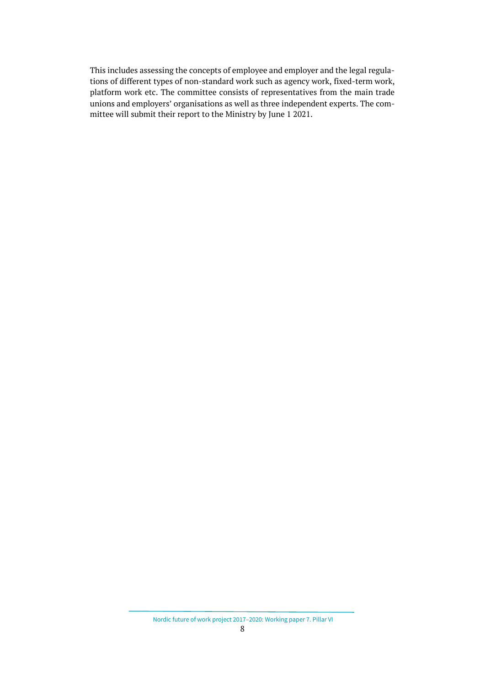This includes assessing the concepts of employee and employer and the legal regulations of different types of non-standard work such as agency work, fixed-term work, platform work etc. The committee consists of representatives from the main trade unions and employers' organisations as well as three independent experts. The committee will submit their report to the Ministry by June 1 2021.

Nordic future of work project 2017–2020: Working paper 7. Pillar VI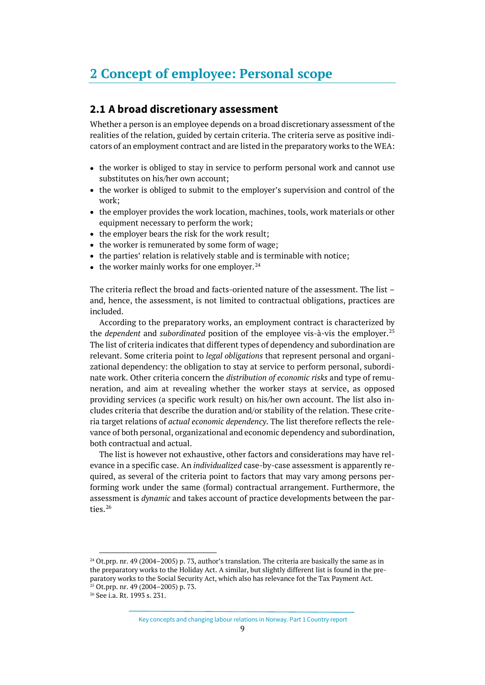## <span id="page-8-0"></span>**2 Concept of employee: Personal scope**

#### <span id="page-8-1"></span>**2.1 A broad discretionary assessment**

Whether a person is an employee depends on a broad discretionary assessment of the realities of the relation, guided by certain criteria. The criteria serve as positive indicators of an employment contract and are listed in the preparatory works to the WEA:

- the worker is obliged to stay in service to perform personal work and cannot use substitutes on his/her own account;
- the worker is obliged to submit to the employer's supervision and control of the work;
- the employer provides the work location, machines, tools, work materials or other equipment necessary to perform the work;
- the employer bears the risk for the work result;
- the worker is remunerated by some form of wage;
- the parties' relation is relatively stable and is terminable with notice;
- the worker mainly works for one employer.  $24$

The criteria reflect the broad and facts-oriented nature of the assessment. The list – and, hence, the assessment, is not limited to contractual obligations, practices are included.

According to the preparatory works, an employment contract is characterized by the *dependent* and *subordinated* position of the employee vis-à-vis the employer. [25](#page-8-3) The list of criteria indicates that different types of dependency and subordination are relevant. Some criteria point to *legal obligations* that represent personal and organizational dependency: the obligation to stay at service to perform personal, subordinate work. Other criteria concern the *distribution of economic risks* and type of remuneration, and aim at revealing whether the worker stays at service, as opposed providing services (a specific work result) on his/her own account. The list also includes criteria that describe the duration and/or stability of the relation. These criteria target relations of *actual economic dependency*. The list therefore reflects the relevance of both personal, organizational and economic dependency and subordination, both contractual and actual.

The list is however not exhaustive, other factors and considerations may have relevance in a specific case. An *individualized* case-by-case assessment is apparently required, as several of the criteria point to factors that may vary among persons performing work under the same (formal) contractual arrangement. Furthermore, the assessment is *dynamic* and takes account of practice developments between the par-ties.<sup>[26](#page-8-4)</sup>

<span id="page-8-2"></span> $24$  Ot.prp. nr. 49 (2004–2005) p. 73, author's translation. The criteria are basically the same as in the preparatory works to the Holiday Act. A similar, but slightly different list is found in the preparatory works to the Social Security Act, which also has relevance fot the Tax Payment Act.  $25$  Ot.prp. nr. 49 (2004–2005) p. 73.

<span id="page-8-4"></span><span id="page-8-3"></span><sup>26</sup> See i.a. Rt. 1993 s. 231.

Key concepts and changing labour relations in Norway. Part 1 Country report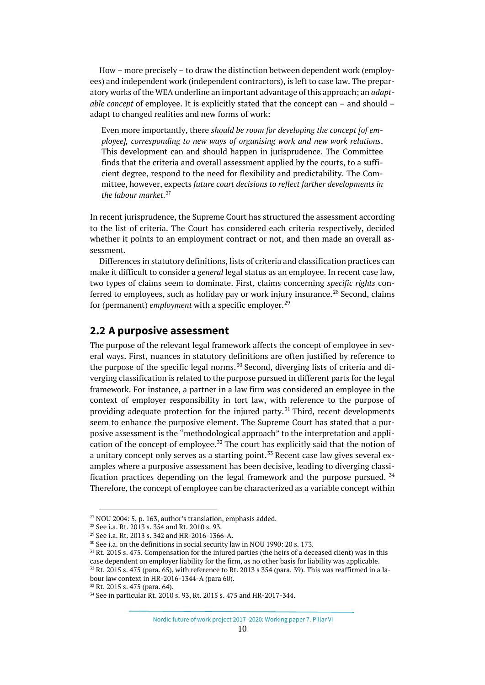How – more precisely – to draw the distinction between dependent work (employees) and independent work (independent contractors), is left to case law. The preparatory works of the WEA underline an important advantage of this approach; an *adaptable concept* of employee. It is explicitly stated that the concept can – and should – adapt to changed realities and new forms of work:

Even more importantly, there *should be room for developing the concept [of employee], corresponding to new ways of organising work and new work relations*. This development can and should happen in jurisprudence. The Committee finds that the criteria and overall assessment applied by the courts, to a sufficient degree, respond to the need for flexibility and predictability. The Committee, however, expects *future court decisions to reflect further developments in the labour market*. [27](#page-9-1)

In recent jurisprudence, the Supreme Court has structured the assessment according to the list of criteria. The Court has considered each criteria respectively, decided whether it points to an employment contract or not, and then made an overall assessment.

Differences in statutory definitions, lists of criteria and classification practices can make it difficult to consider a *general* legal status as an employee. In recent case law, two types of claims seem to dominate. First, claims concerning *specific rights* con-ferred to employees, such as holiday pay or work injury insurance.<sup>[28](#page-9-2)</sup> Second, claims for (permanent) *employment* with a specific employer.<sup>[29](#page-9-3)</sup>

#### <span id="page-9-0"></span>**2.2 A purposive assessment**

The purpose of the relevant legal framework affects the concept of employee in several ways. First, nuances in statutory definitions are often justified by reference to the purpose of the specific legal norms.<sup>[30](#page-9-4)</sup> Second, diverging lists of criteria and diverging classification is related to the purpose pursued in different parts for the legal framework. For instance, a partner in a law firm was considered an employee in the context of employer responsibility in tort law, with reference to the purpose of providing adequate protection for the injured party.<sup>[31](#page-9-5)</sup> Third, recent developments seem to enhance the purposive element. The Supreme Court has stated that a purposive assessment is the "methodological approach" to the interpretation and appli-cation of the concept of employee.<sup>[32](#page-9-6)</sup> The court has explicitly said that the notion of a unitary concept only serves as a starting point.<sup>[33](#page-9-7)</sup> Recent case law gives several examples where a purposive assessment has been decisive, leading to diverging classification practices depending on the legal framework and the purpose pursued. [34](#page-9-8) Therefore, the concept of employee can be characterized as a variable concept within

<span id="page-9-1"></span> $27$  NOU 2004: 5, p. 163, author's translation, emphasis added.

<span id="page-9-2"></span><sup>28</sup> See i.a. Rt. 2013 s. 354 and Rt. 2010 s. 93.

<span id="page-9-3"></span><sup>29</sup> See i.a. Rt. 2013 s. 342 and HR-2016-1366-A.

<sup>&</sup>lt;sup>30</sup> See i.a. on the definitions in social security law in NOU 1990: 20 s. 173.

<span id="page-9-6"></span><span id="page-9-5"></span><span id="page-9-4"></span><sup>31</sup> Rt. 2015 s. 475. Compensation for the injured parties (the heirs of a deceased client) was in this case dependent on employer liability for the firm, as no other basis for liability was applicable.  $32$  Rt. 2015 s. 475 (para. 65), with reference to Rt. 2013 s 354 (para. 39). This was reaffirmed in a labour law context in HR-2016-1344-A (para 60).<br><sup>33</sup> Rt. 2015 s. 475 (para. 64).

<span id="page-9-8"></span><span id="page-9-7"></span><sup>34</sup> See in particular Rt. 2010 s. 93, Rt. 2015 s. 475 and HR-2017-344.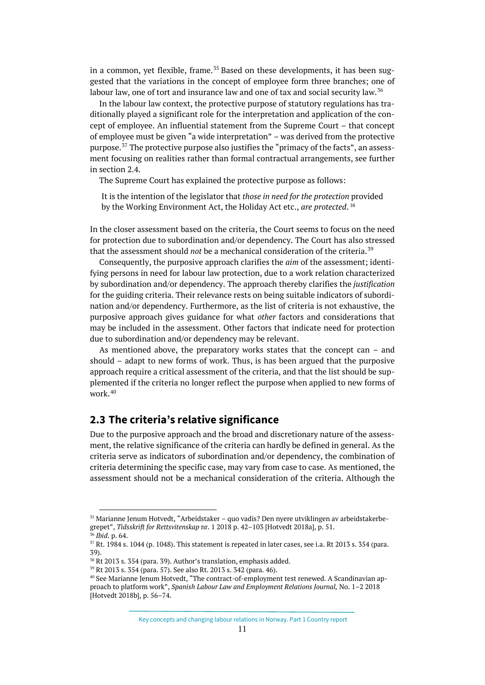in a common, yet flexible, frame.<sup>[35](#page-10-1)</sup> Based on these developments, it has been suggested that the variations in the concept of employee form three branches; one of labour law, one of tort and insurance law and one of tax and social security law.<sup>[36](#page-10-2)</sup>

In the labour law context, the protective purpose of statutory regulations has traditionally played a significant role for the interpretation and application of the concept of employee. An influential statement from the Supreme Court – that concept of employee must be given "a wide interpretation" – was derived from the protective purpose.<sup>[37](#page-10-3)</sup> The protective purpose also justifies the "primacy of the facts", an assessment focusing on realities rather than formal contractual arrangements, see further in section 2.4.

The Supreme Court has explained the protective purpose as follows:

It is the intention of the legislator that *those in need for the protection* provided by the Working Environment Act, the Holiday Act etc., *are protected*. [38](#page-10-4)

In the closer assessment based on the criteria, the Court seems to focus on the need for protection due to subordination and/or dependency. The Court has also stressed that the assessment should *not* be a mechanical consideration of the criteria.[39](#page-10-5)

Consequently, the purposive approach clarifies the *aim* of the assessment; identifying persons in need for labour law protection, due to a work relation characterized by subordination and/or dependency. The approach thereby clarifies the *justification* for the guiding criteria. Their relevance rests on being suitable indicators of subordination and/or dependency. Furthermore, as the list of criteria is not exhaustive, the purposive approach gives guidance for what *other* factors and considerations that may be included in the assessment. Other factors that indicate need for protection due to subordination and/or dependency may be relevant.

As mentioned above, the preparatory works states that the concept can – and should – adapt to new forms of work. Thus, is has been argued that the purposive approach require a critical assessment of the criteria, and that the list should be supplemented if the criteria no longer reflect the purpose when applied to new forms of work. [40](#page-10-6)

#### <span id="page-10-0"></span>**2.3 The criteria's relative significance**

Due to the purposive approach and the broad and discretionary nature of the assessment, the relative significance of the criteria can hardly be defined in general. As the criteria serve as indicators of subordination and/or dependency, the combination of criteria determining the specific case, may vary from case to case. As mentioned, the assessment should not be a mechanical consideration of the criteria. Although the

<span id="page-10-1"></span> <sup>35</sup> Marianne Jenum Hotvedt, "Arbeidstaker – quo vadis? Den nyere utviklingen av arbeidstakerbegrepet", *Tidsskrift for Rettsvitenskap* nr. 1 2018 p. 42–103 [Hotvedt 2018a], p. 51.

<sup>36</sup> *Ibid*. p. 64.

<span id="page-10-3"></span><span id="page-10-2"></span> $37$  Rt. 1984 s. 1044 (p. 1048). This statement is repeated in later cases, see i.a. Rt 2013 s. 354 (para. 39).

<span id="page-10-4"></span> $38$  Rt 2013 s. 354 (para. 39). Author's translation, emphasis added.<br> $39$  Rt 2013 s. 354 (para. 57). See also Rt. 2013 s. 342 (para. 46).

<span id="page-10-6"></span><span id="page-10-5"></span><sup>&</sup>lt;sup>40</sup> See Marianne Jenum Hotvedt. "The contract-of-employment test renewed. A Scandinavian approach to platform work", *Spanish Labour Law and Employment Relations Journal,* No. 1–2 2018 [Hotvedt 2018b], p. 56–74.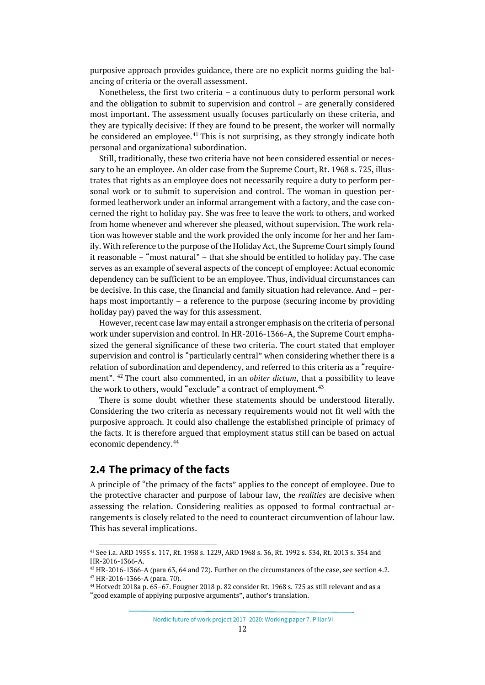purposive approach provides guidance, there are no explicit norms guiding the balancing of criteria or the overall assessment.

Nonetheless, the first two criteria – a continuous duty to perform personal work and the obligation to submit to supervision and control – are generally considered most important. The assessment usually focuses particularly on these criteria, and they are typically decisive: If they are found to be present, the worker will normally be considered an employee. $41$  This is not surprising, as they strongly indicate both personal and organizational subordination.

Still, traditionally, these two criteria have not been considered essential or necessary to be an employee. An older case from the Supreme Court, Rt. 1968 s. 725, illustrates that rights as an employee does not necessarily require a duty to perform personal work or to submit to supervision and control. The woman in question performed leatherwork under an informal arrangement with a factory, and the case concerned the right to holiday pay. She was free to leave the work to others, and worked from home whenever and wherever she pleased, without supervision. The work relation was however stable and the work provided the only income for her and her family. With reference to the purpose of the Holiday Act, the Supreme Court simply found it reasonable – "most natural" – that she should be entitled to holiday pay. The case serves as an example of several aspects of the concept of employee: Actual economic dependency can be sufficient to be an employee. Thus, individual circumstances can be decisive. In this case, the financial and family situation had relevance. And – perhaps most importantly – a reference to the purpose (securing income by providing holiday pay) paved the way for this assessment.

However, recent case law may entail a stronger emphasis on the criteria of personal work under supervision and control. In HR-2016-1366-A, the Supreme Court emphasized the general significance of these two criteria. The court stated that employer supervision and control is "particularly central" when considering whether there is a relation of subordination and dependency, and referred to this criteria as a "requirement". [42](#page-11-2) The court also commented, in an *obiter dictum*, that a possibility to leave the work to others, would "exclude" a contract of employment.<sup>[43](#page-11-3)</sup>

There is some doubt whether these statements should be understood literally. Considering the two criteria as necessary requirements would not fit well with the purposive approach. It could also challenge the established principle of primacy of the facts. It is therefore argued that employment status still can be based on actual economic dependency.<sup>[44](#page-11-4)</sup>

### <span id="page-11-0"></span>**2.4 The primacy of the facts**

A principle of "the primacy of the facts" applies to the concept of employee. Due to the protective character and purpose of labour law, the *realities* are decisive when assessing the relation. Considering realities as opposed to formal contractual arrangements is closely related to the need to counteract circumvention of labour law. This has several implications.

Nordic future of work project 2017–2020: Working paper 7. Pillar VI

<span id="page-11-1"></span> <sup>41</sup> See i.a. ARD 1955 s. 117, Rt. 1958 s. 1229, ARD 1968 s. 36, Rt. 1992 s. 534, Rt. 2013 s. 354 and HR-2016-1366-A.

<span id="page-11-2"></span><sup>42</sup> HR-2016-1366-A (para 63, 64 and 72). Further on the circumstances of the case, see section 4.2. <sup>43</sup> HR-2016-1366-A (para. 70).

<span id="page-11-4"></span><span id="page-11-3"></span> $44$  Hotvedt 2018a p. 65–67. Fougner 2018 p. 82 consider Rt. 1968 s. 725 as still relevant and as a "good example of applying purposive arguments", author's translation.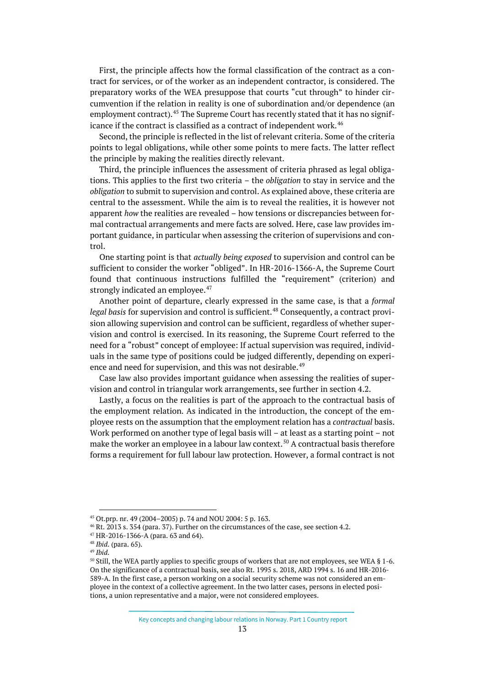First, the principle affects how the formal classification of the contract as a contract for services, or of the worker as an independent contractor, is considered. The preparatory works of the WEA presuppose that courts "cut through" to hinder circumvention if the relation in reality is one of subordination and/or dependence (an employment contract).<sup>[45](#page-12-0)</sup> The Supreme Court has recently stated that it has no signif-icance if the contract is classified as a contract of independent work.<sup>[46](#page-12-1)</sup>

Second, the principle is reflected in the list of relevant criteria. Some of the criteria points to legal obligations, while other some points to mere facts. The latter reflect the principle by making the realities directly relevant.

Third, the principle influences the assessment of criteria phrased as legal obligations. This applies to the first two criteria – the *obligation* to stay in service and the *obligation* to submit to supervision and control. As explained above, these criteria are central to the assessment. While the aim is to reveal the realities, it is however not apparent *how* the realities are revealed – how tensions or discrepancies between formal contractual arrangements and mere facts are solved. Here, case law provides important guidance, in particular when assessing the criterion of supervisions and control.

One starting point is that *actually being exposed* to supervision and control can be sufficient to consider the worker "obliged". In HR-2016-1366-A, the Supreme Court found that continuous instructions fulfilled the "requirement" (criterion) and strongly indicated an employee. $47$ 

Another point of departure, clearly expressed in the same case, is that a *formal legal basis* for supervision and control is sufficient.<sup>[48](#page-12-3)</sup> Consequently, a contract provision allowing supervision and control can be sufficient, regardless of whether supervision and control is exercised. In its reasoning, the Supreme Court referred to the need for a "robust" concept of employee: If actual supervision was required, individuals in the same type of positions could be judged differently, depending on experi-ence and need for supervision, and this was not desirable.<sup>[49](#page-12-4)</sup>

Case law also provides important guidance when assessing the realities of supervision and control in triangular work arrangements, see further in section 4.2.

Lastly, a focus on the realities is part of the approach to the contractual basis of the employment relation. As indicated in the introduction, the concept of the employee rests on the assumption that the employment relation has a *contractual* basis. Work performed on another type of legal basis will – at least as a starting point – not make the worker an employee in a labour law context.<sup>[50](#page-12-5)</sup> A contractual basis therefore forms a requirement for full labour law protection. However, a formal contract is not

<span id="page-12-0"></span> <sup>45</sup> Ot.prp. nr. 49 (2004–2005) p. 74 and NOU 2004: 5 p. 163.

<span id="page-12-1"></span><sup>46</sup> Rt. 2013 s. 354 (para. 37). Further on the circumstances of the case, see section 4.2.

<span id="page-12-2"></span><sup>47</sup> HR-2016-1366-A (para. 63 and 64).

<span id="page-12-3"></span><sup>48</sup> *Ibid*. (para. 65).

<span id="page-12-4"></span><sup>49</sup> *Ibid*.

<span id="page-12-5"></span><sup>&</sup>lt;sup>50</sup> Still, the WEA partly applies to specific groups of workers that are not employees, see WEA § 1-6. On the significance of a contractual basis, see also Rt. 1995 s. 2018, ARD 1994 s. 16 and HR-2016- 589-A. In the first case, a person working on a social security scheme was not considered an employee in the context of a collective agreement. In the two latter cases, persons in elected positions, a union representative and a major, were not considered employees.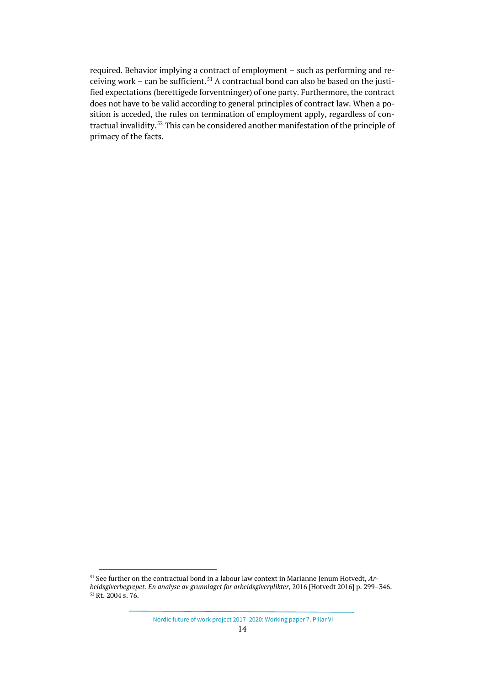required. Behavior implying a contract of employment – such as performing and re-ceiving work – can be sufficient.<sup>[51](#page-13-0)</sup> A contractual bond can also be based on the justified expectations (berettigede forventninger) of one party. Furthermore, the contract does not have to be valid according to general principles of contract law. When a position is acceded, the rules on termination of employment apply, regardless of con-tractual invalidity.<sup>[52](#page-13-1)</sup> This can be considered another manifestation of the principle of primacy of the facts.

<span id="page-13-1"></span><span id="page-13-0"></span> <sup>51</sup> See further on the contractual bond in a labour law context in Marianne Jenum Hotvedt, *Arbeidsgiverbegrepet. En analyse av grunnlaget for arbeidsgiverplikter*, 2016 [Hotvedt 2016] p. 299–346.  $52$  Rt. 2004 s. 76.

Nordic future of work project 2017–2020: Working paper 7. Pillar VI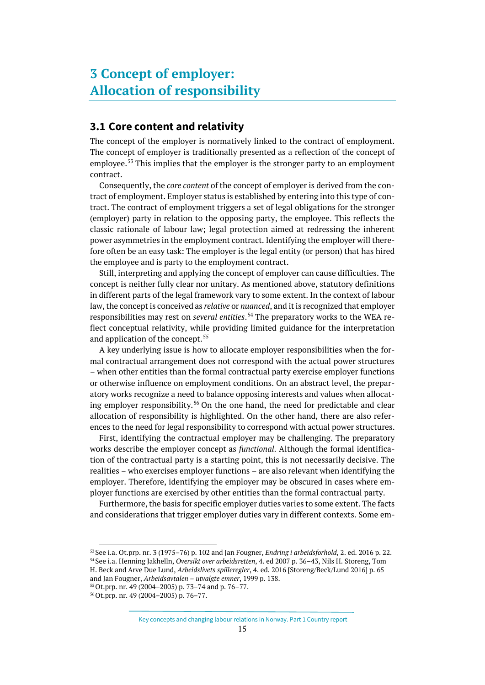## <span id="page-14-0"></span>**3 Concept of employer: Allocation of responsibility**

### <span id="page-14-1"></span>**3.1 Core content and relativity**

The concept of the employer is normatively linked to the contract of employment. The concept of employer is traditionally presented as a reflection of the concept of employee.<sup>[53](#page-14-2)</sup> This implies that the employer is the stronger party to an employment contract.

Consequently, the *core content* of the concept of employer is derived from the contract of employment. Employer status is established by entering into this type of contract. The contract of employment triggers a set of legal obligations for the stronger (employer) party in relation to the opposing party, the employee. This reflects the classic rationale of labour law; legal protection aimed at redressing the inherent power asymmetries in the employment contract. Identifying the employer will therefore often be an easy task: The employer is the legal entity (or person) that has hired the employee and is party to the employment contract.

Still, interpreting and applying the concept of employer can cause difficulties. The concept is neither fully clear nor unitary. As mentioned above, statutory definitions in different parts of the legal framework vary to some extent. In the context of labour law, the concept is conceived as *relative* or *nuanced*, and it is recognized that employer responsibilities may rest on *several entities*. [54](#page-14-3) The preparatory works to the WEA reflect conceptual relativity, while providing limited guidance for the interpretation and application of the concept.<sup>[55](#page-14-4)</sup>

A key underlying issue is how to allocate employer responsibilities when the formal contractual arrangement does not correspond with the actual power structures – when other entities than the formal contractual party exercise employer functions or otherwise influence on employment conditions. On an abstract level, the preparatory works recognize a need to balance opposing interests and values when allocat-ing employer responsibility.<sup>[56](#page-14-5)</sup> On the one hand, the need for predictable and clear allocation of responsibility is highlighted. On the other hand, there are also references to the need for legal responsibility to correspond with actual power structures.

First, identifying the contractual employer may be challenging. The preparatory works describe the employer concept as *functional*. Although the formal identification of the contractual party is a starting point, this is not necessarily decisive. The realities – who exercises employer functions – are also relevant when identifying the employer. Therefore, identifying the employer may be obscured in cases where employer functions are exercised by other entities than the formal contractual party.

Furthermore, the basis for specific employer duties varies to some extent. The facts and considerations that trigger employer duties vary in different contexts. Some em-

<span id="page-14-4"></span>55Ot.prp. nr. 49 (2004–2005) p. 73–74 and p. 76–77.

Key concepts and changing labour relations in Norway. Part 1 Country report

<span id="page-14-3"></span><span id="page-14-2"></span> <sup>53</sup> See i.a. Ot.prp. nr. 3 (1975–76) p. 102 and Jan Fougner, *Endring i arbeidsforhold*, 2. ed. 2016 p. 22. <sup>54</sup> See i.a. Henning Jakhelln, *Oversikt over arbeidsretten*, 4. ed 2007 p. 36–43, Nils H. Storeng, Tom H. Beck and Arve Due Lund, *Arbeidslivets spilleregler*, 4. ed. 2016 [Storeng/Beck/Lund 2016] p. 65 and Jan Fougner, *Arbeidsavtalen – utvalgte emner*, 1999 p. 138.

<span id="page-14-5"></span><sup>56</sup>Ot.prp. nr. 49 (2004–2005) p. 76–77.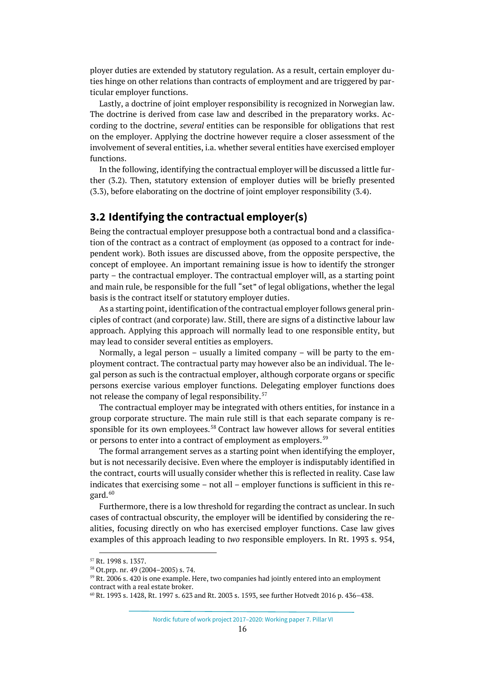ployer duties are extended by statutory regulation. As a result, certain employer duties hinge on other relations than contracts of employment and are triggered by particular employer functions.

Lastly, a doctrine of joint employer responsibility is recognized in Norwegian law. The doctrine is derived from case law and described in the preparatory works. According to the doctrine, *several* entities can be responsible for obligations that rest on the employer. Applying the doctrine however require a closer assessment of the involvement of several entities, i.a. whether several entities have exercised employer functions.

In the following, identifying the contractual employer will be discussed a little further (3.2). Then, statutory extension of employer duties will be briefly presented (3.3), before elaborating on the doctrine of joint employer responsibility (3.4).

#### <span id="page-15-0"></span>**3.2 Identifying the contractual employer(s)**

Being the contractual employer presuppose both a contractual bond and a classification of the contract as a contract of employment (as opposed to a contract for independent work). Both issues are discussed above, from the opposite perspective, the concept of employee. An important remaining issue is how to identify the stronger party – the contractual employer. The contractual employer will, as a starting point and main rule, be responsible for the full "set" of legal obligations, whether the legal basis is the contract itself or statutory employer duties.

As a starting point, identification of the contractual employer follows general principles of contract (and corporate) law. Still, there are signs of a distinctive labour law approach. Applying this approach will normally lead to one responsible entity, but may lead to consider several entities as employers.

Normally, a legal person – usually a limited company – will be party to the employment contract. The contractual party may however also be an individual. The legal person as such is the contractual employer, although corporate organs or specific persons exercise various employer functions. Delegating employer functions does not release the company of legal responsibility.<sup>[57](#page-15-1)</sup>

The contractual employer may be integrated with others entities, for instance in a group corporate structure. The main rule still is that each separate company is re-sponsible for its own employees.<sup>[58](#page-15-2)</sup> Contract law however allows for several entities or persons to enter into a contract of employment as employers.<sup>[59](#page-15-3)</sup>

The formal arrangement serves as a starting point when identifying the employer, but is not necessarily decisive. Even where the employer is indisputably identified in the contract, courts will usually consider whether this is reflected in reality. Case law indicates that exercising some – not all – employer functions is sufficient in this regard. $60$ 

Furthermore, there is a low threshold for regarding the contract as unclear. In such cases of contractual obscurity, the employer will be identified by considering the realities, focusing directly on who has exercised employer functions. Case law gives examples of this approach leading to *two* responsible employers. In Rt. 1993 s. 954,

Nordic future of work project 2017–2020: Working paper 7. Pillar VI

<span id="page-15-2"></span><span id="page-15-1"></span> <sup>57</sup> Rt. 1998 s. 1357.

<sup>58</sup> Ot.prp. nr. 49 (2004–2005) s. 74.

<span id="page-15-3"></span> $59$  Rt. 2006 s. 420 is one example. Here, two companies had jointly entered into an employment contract with a real estate broker.

<span id="page-15-4"></span> $60$  Rt. 1993 s. 1428, Rt. 1997 s. 623 and Rt. 2003 s. 1593, see further Hotvedt 2016 p. 436–438.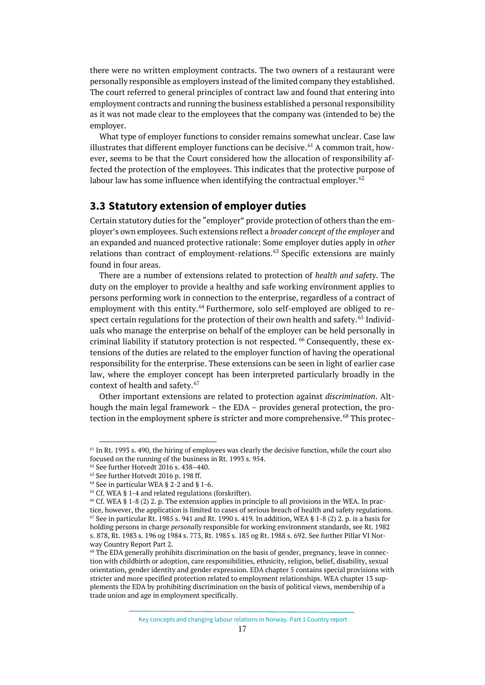there were no written employment contracts. The two owners of a restaurant were personally responsible as employers instead of the limited company they established. The court referred to general principles of contract law and found that entering into employment contracts and running the business established a personal responsibility as it was not made clear to the employees that the company was (intended to be) the employer.

What type of employer functions to consider remains somewhat unclear. Case law illustrates that different employer functions can be decisive.<sup>[61](#page-16-1)</sup> A common trait, however, seems to be that the Court considered how the allocation of responsibility affected the protection of the employees. This indicates that the protective purpose of labour law has some influence when identifying the contractual employer.  $62$ 

#### <span id="page-16-0"></span>**3.3 Statutory extension of employer duties**

Certain statutory duties for the "employer" provide protection of others than the employer's own employees. Such extensions reflect a *broader concept of the employer* and an expanded and nuanced protective rationale: Some employer duties apply in *other* relations than contract of employment-relations.<sup>[63](#page-16-3)</sup> Specific extensions are mainly found in four areas.

There are a number of extensions related to protection of *health and safety*. The duty on the employer to provide a healthy and safe working environment applies to persons performing work in connection to the enterprise, regardless of a contract of employment with this entity.<sup>[64](#page-16-4)</sup> Furthermore, solo self-employed are obliged to re-spect certain regulations for the protection of their own health and safety.<sup>[65](#page-16-5)</sup> Individuals who manage the enterprise on behalf of the employer can be held personally in criminal liability if statutory protection is not respected. <sup>[66](#page-16-6)</sup> Consequently, these extensions of the duties are related to the employer function of having the operational responsibility for the enterprise. These extensions can be seen in light of earlier case law, where the employer concept has been interpreted particularly broadly in the context of health and safety.<sup>[67](#page-16-7)</sup>

Other important extensions are related to protection against *discrimination*. Although the main legal framework – the EDA – provides general protection, the pro-tection in the employment sphere is stricter and more comprehensive.<sup>[68](#page-16-8)</sup> This protec-

<span id="page-16-1"></span> $61$  In Rt. 1993 s. 490, the hiring of employees was clearly the decisive function, while the court also focused on the running of the business in Rt. 1993 s. 954.

<span id="page-16-2"></span><sup>62</sup> See further Hotvedt 2016 s. 438–440.

<sup>63</sup> See further Hotvedt 2016 p. 198 ff.

<span id="page-16-7"></span><span id="page-16-6"></span><span id="page-16-5"></span>

<span id="page-16-4"></span><span id="page-16-3"></span><sup>&</sup>lt;sup>64</sup> See in particular WEA § 2-2 and § 1-6.<br><sup>65</sup> Cf. WEA § 1-4 and related regulations (forskrifter).<br><sup>66</sup> Cf. WEA § 1-8 (2) 2. p. The extension applies in principle to all provisions in the WEA. In practice, however, the application is limited to cases of serious breach of health and safety regulations. <sup>67</sup> See in particular Rt. 1985 s. 941 and Rt. 1990 s. 419*.* In addition, WEA § 1-8 (2) 2. p. is a basis for holding persons in charge *personally* responsible for working environment standards, see Rt. 1982 s. 878, Rt. 1983 s. 196 og 1984 s. 773, Rt. 1985 s. 185 og Rt. 1988 s. 692. See further Pillar VI Norway Country Report Part 2.

<span id="page-16-8"></span><sup>68</sup> The EDA generally prohibits discrimination on the basis of gender, pregnancy, leave in connection with childbirth or adoption, care responsibilities, ethnicity, religion, belief, disability, sexual orientation, gender identity and gender expression. EDA chapter 5 contains special provisions with stricter and more specified protection related to employment relationships. WEA chapter 13 supplements the EDA by prohibiting discrimination on the basis of political views, membership of a trade union and age in employment specifically.

Key concepts and changing labour relations in Norway. Part 1 Country report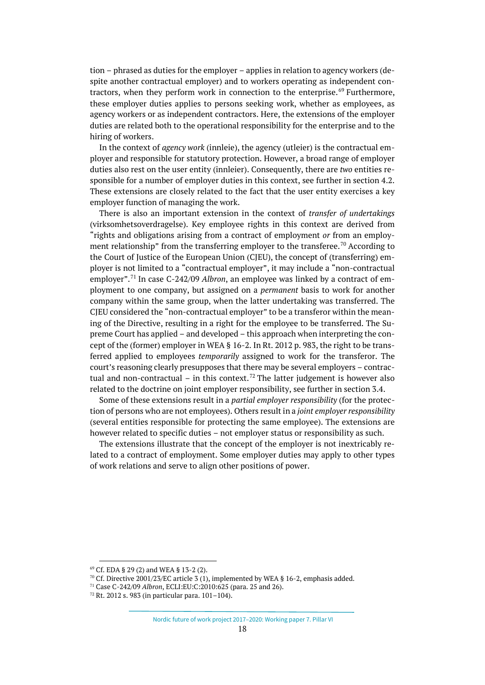tion – phrased as duties for the employer – applies in relation to agency workers (despite another contractual employer) and to workers operating as independent con-tractors, when they perform work in connection to the enterprise.<sup>[69](#page-17-0)</sup> Furthermore, these employer duties applies to persons seeking work, whether as employees, as agency workers or as independent contractors. Here, the extensions of the employer duties are related both to the operational responsibility for the enterprise and to the hiring of workers.

In the context of *agency work* (innleie), the agency (utleier) is the contractual employer and responsible for statutory protection. However, a broad range of employer duties also rest on the user entity (innleier). Consequently, there are *two* entities responsible for a number of employer duties in this context, see further in section 4.2. These extensions are closely related to the fact that the user entity exercises a key employer function of managing the work.

There is also an important extension in the context of *transfer of undertakings* (virksomhetsoverdragelse). Key employee rights in this context are derived from "rights and obligations arising from a contract of employment *or* from an employ-ment relationship" from the transferring employer to the transferee.<sup>[70](#page-17-1)</sup> According to the Court of Justice of the European Union (CJEU), the concept of (transferring) employer is not limited to a "contractual employer", it may include a "non-contractual employer".[71](#page-17-2) In case C-242/09 *Albron*, an employee was linked by a contract of employment to one company, but assigned on a *permanent* basis to work for another company within the same group, when the latter undertaking was transferred. The CJEU considered the "non-contractual employer" to be a transferor within the meaning of the Directive, resulting in a right for the employee to be transferred. The Supreme Court has applied – and developed – this approach when interpreting the concept of the (former) employer in WEA § 16-2. In Rt. 2012 p. 983, the right to be transferred applied to employees *temporarily* assigned to work for the transferor. The court's reasoning clearly presupposes that there may be several employers – contrac-tual and non-contractual – in this context.<sup>[72](#page-17-3)</sup> The latter judgement is however also related to the doctrine on joint employer responsibility, see further in section 3.4.

Some of these extensions result in a *partial employer responsibility* (for the protection of persons who are not employees). Others result in a *joint employer responsibility* (several entities responsible for protecting the same employee). The extensions are however related to specific duties – not employer status or responsibility as such.

The extensions illustrate that the concept of the employer is not inextricably related to a contract of employment. Some employer duties may apply to other types of work relations and serve to align other positions of power.

<span id="page-17-0"></span> $69$  Cf. EDA § 29 (2) and WEA § 13-2 (2).<br><sup>70</sup> Cf. Directive 2001/23/EC article 3 (1), implemented by WEA § 16-2, emphasis added.

<span id="page-17-2"></span><span id="page-17-1"></span><sup>71</sup> Case C-242/09 *Albron*, ECLI:EU:C:2010:625 (para. 25 and 26).

<span id="page-17-3"></span> $72$  Rt. 2012 s. 983 (in particular para. 101-104).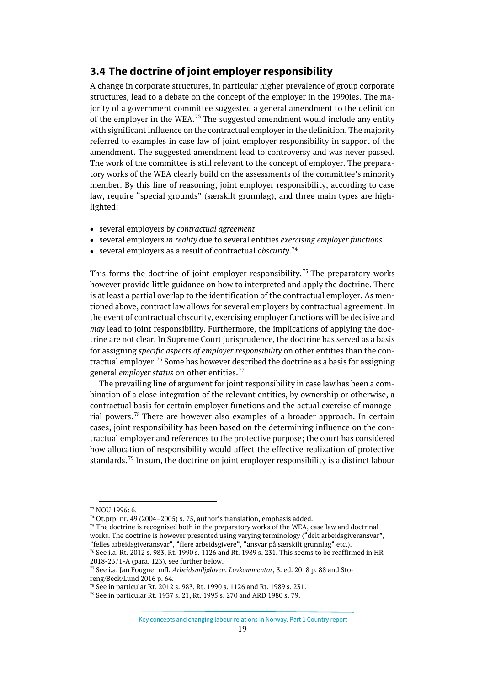### <span id="page-18-0"></span>**3.4 The doctrine of joint employer responsibility**

A change in corporate structures, in particular higher prevalence of group corporate structures, lead to a debate on the concept of the employer in the 1990ies. The majority of a government committee suggested a general amendment to the definition of the employer in the WEA.<sup>[73](#page-18-1)</sup> The suggested amendment would include any entity with significant influence on the contractual employer in the definition. The majority referred to examples in case law of joint employer responsibility in support of the amendment. The suggested amendment lead to controversy and was never passed. The work of the committee is still relevant to the concept of employer. The preparatory works of the WEA clearly build on the assessments of the committee's minority member. By this line of reasoning, joint employer responsibility, according to case law, require "special grounds" (særskilt grunnlag), and three main types are highlighted:

- several employers by *contractual agreement*
- several employers *in reality* due to several entities *exercising employer functions*
- several employers as a result of contractual *obscurity*. [74](#page-18-2)

This forms the doctrine of joint employer responsibility.<sup>[75](#page-18-3)</sup> The preparatory works however provide little guidance on how to interpreted and apply the doctrine. There is at least a partial overlap to the identification of the contractual employer. As mentioned above, contract law allows for several employers by contractual agreement. In the event of contractual obscurity, exercising employer functions will be decisive and *may* lead to joint responsibility. Furthermore, the implications of applying the doctrine are not clear. In Supreme Court jurisprudence, the doctrine has served as a basis for assigning *specific aspects of employer responsibility* on other entities than the con-tractual employer.<sup>[76](#page-18-4)</sup> Some has however described the doctrine as a basis for assigning general *employer status* on other entities.[77](#page-18-5)

The prevailing line of argument for joint responsibility in case law has been a combination of a close integration of the relevant entities, by ownership or otherwise, a contractual basis for certain employer functions and the actual exercise of managerial powers. [78](#page-18-6) There are however also examples of a broader approach. In certain cases, joint responsibility has been based on the determining influence on the contractual employer and references to the protective purpose; the court has considered how allocation of responsibility would affect the effective realization of protective standards.<sup>[79](#page-18-7)</sup> In sum, the doctrine on joint employer responsibility is a distinct labour

<span id="page-18-1"></span> <sup>73</sup> NOU 1996: 6.

<span id="page-18-3"></span><span id="page-18-2"></span><sup>&</sup>lt;sup>74</sup> Ot.prp. nr. 49 (2004–2005) s. 75, author's translation, emphasis added.<br><sup>75</sup> The doctrine is recognised both in the preparatory works of the WEA, case law and doctrinal works. The doctrine is however presented using varying terminology ("delt arbeidsgiveransvar", "felles arbeidsgiveransvar", "flere arbeidsgivere", "ansvar på særskilt grunnlag" etc.).

<span id="page-18-4"></span> $^{76}$  See i.a. Rt. 2012 s. 983, Rt. 1990 s. 1126 and Rt. 1989 s. 231. This seems to be reaffirmed in HR-2018-2371-A (para. 123), see further below.

<span id="page-18-5"></span><sup>77</sup> See i.a. Jan Fougner mfl. *Arbeidsmiljøloven. Lovkommentar*, 3. ed. 2018 p. 88 and Storeng/Beck/Lund 2016 p. 64.

<span id="page-18-7"></span><span id="page-18-6"></span><sup>&</sup>lt;sup>78</sup> See in particular Rt. 2012 s. 983, Rt. 1990 s. 1126 and Rt. 1989 s. 231. <sup>79</sup> See in particular Rt. 1937 s. 21, Rt. 1995 s. 270 and ARD 1980 s. 79.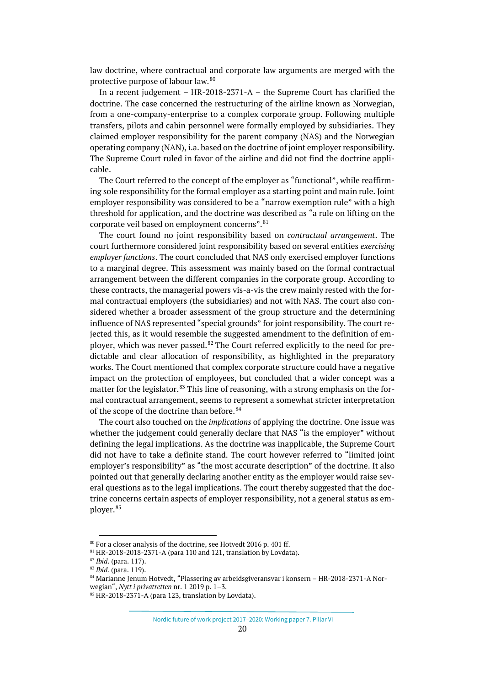law doctrine, where contractual and corporate law arguments are merged with the protective purpose of labour law.[80](#page-19-0)

In a recent judgement – HR-2018-2371-A – the Supreme Court has clarified the doctrine. The case concerned the restructuring of the airline known as Norwegian, from a one-company-enterprise to a complex corporate group. Following multiple transfers, pilots and cabin personnel were formally employed by subsidiaries. They claimed employer responsibility for the parent company (NAS) and the Norwegian operating company (NAN), i.a. based on the doctrine of joint employer responsibility. The Supreme Court ruled in favor of the airline and did not find the doctrine applicable.

The Court referred to the concept of the employer as "functional", while reaffirming sole responsibility for the formal employer as a starting point and main rule. Joint employer responsibility was considered to be a "narrow exemption rule" with a high threshold for application, and the doctrine was described as "a rule on lifting on the corporate veil based on employment concerns". <sup>[81](#page-19-1)</sup>

The court found no joint responsibility based on *contractual arrangement*. The court furthermore considered joint responsibility based on several entities *exercising employer functions*. The court concluded that NAS only exercised employer functions to a marginal degree. This assessment was mainly based on the formal contractual arrangement between the different companies in the corporate group. According to these contracts, the managerial powers vis-a-vis the crew mainly rested with the formal contractual employers (the subsidiaries) and not with NAS. The court also considered whether a broader assessment of the group structure and the determining influence of NAS represented "special grounds" for joint responsibility. The court rejected this, as it would resemble the suggested amendment to the definition of employer, which was never passed. $82$  The Court referred explicitly to the need for predictable and clear allocation of responsibility, as highlighted in the preparatory works. The Court mentioned that complex corporate structure could have a negative impact on the protection of employees, but concluded that a wider concept was a matter for the legislator.<sup>[83](#page-19-3)</sup> This line of reasoning, with a strong emphasis on the formal contractual arrangement, seems to represent a somewhat stricter interpretation of the scope of the doctrine than before.<sup>[84](#page-19-4)</sup>

The court also touched on the *implications* of applying the doctrine. One issue was whether the judgement could generally declare that NAS "is the employer" without defining the legal implications. As the doctrine was inapplicable, the Supreme Court did not have to take a definite stand. The court however referred to "limited joint employer's responsibility" as "the most accurate description" of the doctrine. It also pointed out that generally declaring another entity as the employer would raise several questions as to the legal implications. The court thereby suggested that the doctrine concerns certain aspects of employer responsibility, not a general status as em-ployer.<sup>[85](#page-19-5)</sup>

 $80$  For a closer analysis of the doctrine, see Hotvedt 2016 p. 401 ff.

<span id="page-19-3"></span><span id="page-19-2"></span><span id="page-19-1"></span><span id="page-19-0"></span>

<span id="page-19-4"></span>

<sup>81</sup> HR-2018-2018-2371-A (para 110 and 121, translation by Lovdata).<br><sup>82</sup> *Ibid*. (para. 117).<br><sup>83</sup> *Ibid.* (para. 119).<br><sup>84</sup> Marianne Jenum Hotvedt, "Plassering av arbeidsgiveransvar i konsern – HR-2018-2371-A Norwegian", *Nytt i privatretten* nr. 1 2019 p. 1-3.<br><sup>85</sup> HR-2018-2371-A (para 123, translation by Lovdata).

<span id="page-19-5"></span>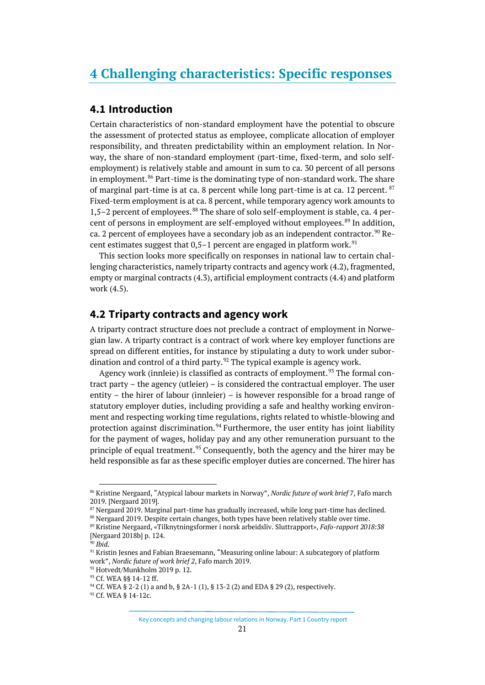#### <span id="page-20-1"></span><span id="page-20-0"></span>**4.1 Introduction**

Certain characteristics of non-standard employment have the potential to obscure the assessment of protected status as employee, complicate allocation of employer responsibility, and threaten predictability within an employment relation. In Norway, the share of non-standard employment (part-time, fixed-term, and solo selfemployment) is relatively stable and amount in sum to ca. 30 percent of all persons in employment.<sup>[86](#page-20-3)</sup> Part-time is the dominating type of non-standard work. The share of marginal part-time is at ca. 8 percent while long part-time is at ca. 12 percent.  $87$ Fixed-term employment is at ca. 8 percent, while temporary agency work amounts to 1,5–2 percent of employees. $88$  The share of solo self-employment is stable, ca. 4 per-cent of persons in employment are self-employed without employees.<sup>[89](#page-20-6)</sup> In addition, ca. 2 percent of employees have a secondary job as an independent contractor.<sup>[90](#page-20-7)</sup> Recent estimates suggest that  $0.5-1$  percent are engaged in platform work.<sup>[91](#page-20-8)</sup>

This section looks more specifically on responses in national law to certain challenging characteristics, namely triparty contracts and agency work (4.2), fragmented, empty or marginal contracts (4.3), artificial employment contracts (4.4) and platform work (4.5).

### <span id="page-20-2"></span>**4.2 Triparty contracts and agency work**

A triparty contract structure does not preclude a contract of employment in Norwegian law. A triparty contract is a contract of work where key employer functions are spread on different entities, for instance by stipulating a duty to work under subor-dination and control of a third party.<sup>[92](#page-20-9)</sup> The typical example is agency work.

Agency work (innleie) is classified as contracts of employment.<sup>[93](#page-20-10)</sup> The formal contract party – the agency (utleier) – is considered the contractual employer. The user entity – the hirer of labour (innleier) – is however responsible for a broad range of statutory employer duties, including providing a safe and healthy working environment and respecting working time regulations, rights related to whistle-blowing and protection against discrimination.<sup>[94](#page-20-11)</sup> Furthermore, the user entity has joint liability for the payment of wages, holiday pay and any other remuneration pursuant to the principle of equal treatment.<sup>[95](#page-20-12)</sup> Consequently, both the agency and the hirer may be held responsible as far as these specific employer duties are concerned. The hirer has

<span id="page-20-3"></span> <sup>86</sup> Kristine Nergaard, "Atypical labour markets in Norway", *Nordic future of work brief 7*, Fafo march 2019. [Nergaard 2019].

 $87$  Nergaard 2019. Marginal part-time has gradually increased, while long part-time has declined.  $88$  Nergaard 2019. Despite certain changes, both types have been relatively stable over time.

<span id="page-20-6"></span><span id="page-20-5"></span><span id="page-20-4"></span>

<sup>89</sup> Kristine Nergaard, «Tilknytningsformer i norsk arbeidsliv. Sluttrapport», *Fafo-rapport 2018:38* [Nergaard 2018b] p. 124.

<span id="page-20-8"></span>

<span id="page-20-7"></span><sup>&</sup>lt;sup>90</sup> *Ibid.*<br><sup>91</sup> Kristin Jesnes and Fabian Braesemann, "Measuring online labour: A subcategory of platform work", *Nordic future of work brief 2*, Fafo march 2019. 92 Hotvedt/Munkholm 2019 p. 12.

<span id="page-20-12"></span><span id="page-20-11"></span><span id="page-20-10"></span><span id="page-20-9"></span>

<sup>&</sup>lt;sup>93</sup> Cf. WEA § § 14-12 ff.<br><sup>94</sup> Cf. WEA § 2-2 (1) a and b, § 2A-1 (1), § 13-2 (2) and EDA § 29 (2), respectively.<br><sup>95</sup> Cf. WEA § 14-12c.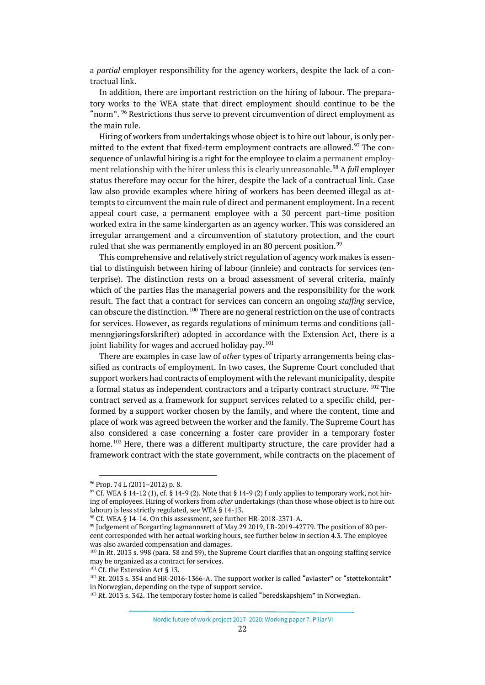a *partial* employer responsibility for the agency workers, despite the lack of a contractual link.

In addition, there are important restriction on the hiring of labour. The preparatory works to the WEA state that direct employment should continue to be the "norm".  $96$  Restrictions thus serve to prevent circumvention of direct employment as the main rule.

Hiring of workers from undertakings whose object is to hire out labour, is only per-mitted to the extent that fixed-term employment contracts are allowed.<sup>[97](#page-21-1)</sup> The consequence of unlawful hiring is a right for the employee to claim a permanent employment relationship with the hirer unless this is clearly unreasonable. [98](#page-21-2) A *full* employer status therefore may occur for the hirer, despite the lack of a contractual link. Case law also provide examples where hiring of workers has been deemed illegal as attempts to circumvent the main rule of direct and permanent employment. In a recent appeal court case, a permanent employee with a 30 percent part-time position worked extra in the same kindergarten as an agency worker. This was considered an irregular arrangement and a circumvention of statutory protection, and the court ruled that she was permanently employed in an 80 percent position.  $^{99}$  $^{99}$  $^{99}$ 

This comprehensive and relatively strict regulation of agency work makes is essential to distinguish between hiring of labour (innleie) and contracts for services (enterprise). The distinction rests on a broad assessment of several criteria, mainly which of the parties Has the managerial powers and the responsibility for the work result. The fact that a contract for services can concern an ongoing *staffing* service, can obscure the distinction.<sup>[100](#page-21-4)</sup> There are no general restriction on the use of contracts for services. However, as regards regulations of minimum terms and conditions (allmenngjøringsforskrifter) adopted in accordance with the Extension Act, there is a joint liability for wages and accrued holiday pay.<sup>[101](#page-21-5)</sup>

There are examples in case law of *other* types of triparty arrangements being classified as contracts of employment. In two cases, the Supreme Court concluded that support workers had contracts of employment with the relevant municipality, despite a formal status as independent contractors and a triparty contract structure. [102](#page-21-6) The contract served as a framework for support services related to a specific child, performed by a support worker chosen by the family, and where the content, time and place of work was agreed between the worker and the family. The Supreme Court has also considered a case concerning a foster care provider in a temporary foster home.<sup>[103](#page-21-7)</sup> Here, there was a different multiparty structure, the care provider had a framework contract with the state government, while contracts on the placement of

Nordic future of work project 2017–2020: Working paper 7. Pillar VI

<span id="page-21-0"></span> <sup>96</sup> Prop. 74 L (2011–2012) p. 8.

<span id="page-21-1"></span> $97$  Cf. WEA § 14-12 (1), cf. § 14-9 (2). Note that § 14-9 (2) f only applies to temporary work, not hiring of employees. Hiring of workers from *other* undertakings (than those whose object is to hire out labour) is less strictly regulated, see WEA § 14-13.

<span id="page-21-3"></span><span id="page-21-2"></span><sup>&</sup>lt;sup>98</sup> Cf. WEA § 14-14. On this assessment, see further HR-2018-2371-A.<br><sup>99</sup> Judgement of Borgarting lagmannsrett of May 29 2019, LB-2019-42779. The position of 80 percent corresponded with her actual working hours, see further below in section 4.3. The employee was also awarded compensation and damages.

<span id="page-21-4"></span><sup>100</sup> In Rt. 2013 s. 998 (para. 58 and 59), the Supreme Court clarifies that an ongoing staffing service may be organized as a contract for services.

<span id="page-21-5"></span><sup>&</sup>lt;sup>101</sup> Cf. the Extension Act § 13.

<span id="page-21-6"></span><sup>102</sup> Rt. 2013 s. 354 and HR-2016-1366-A. The support worker is called "avlaster" or "støttekontakt" in Norwegian, depending on the type of support service.

<span id="page-21-7"></span><sup>&</sup>lt;sup>103</sup> Rt. 2013 s. 342. The temporary foster home is called "beredskapshjem" in Norwegian.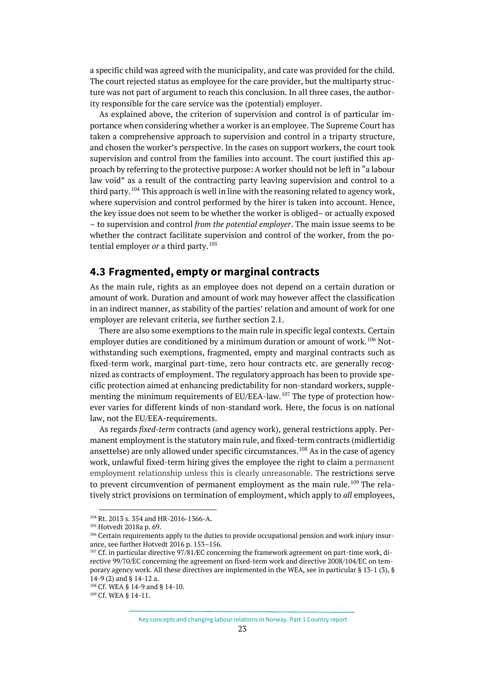a specific child was agreed with the municipality, and care was provided for the child. The court rejected status as employee for the care provider, but the multiparty structure was not part of argument to reach this conclusion. In all three cases, the authority responsible for the care service was the (potential) employer.

As explained above, the criterion of supervision and control is of particular importance when considering whether a worker is an employee. The Supreme Court has taken a comprehensive approach to supervision and control in a triparty structure, and chosen the worker's perspective. In the cases on support workers, the court took supervision and control from the families into account. The court justified this approach by referring to the protective purpose: A worker should not be left in "a labour law void" as a result of the contracting party leaving supervision and control to a third party.  $104$  This approach is well in line with the reasoning related to agency work, where supervision and control performed by the hirer is taken into account. Hence, the key issue does not seem to be whether the worker is obliged– or actually exposed – to supervision and control *from the potential employer*. The main issue seems to be whether the contract facilitate supervision and control of the worker, from the potential employer *or* a third party.<sup>[105](#page-22-2)</sup>

#### <span id="page-22-0"></span>**4.3 Fragmented, empty or marginal contracts**

As the main rule, rights as an employee does not depend on a certain duration or amount of work. Duration and amount of work may however affect the classification in an indirect manner, as stability of the parties' relation and amount of work for one employer are relevant criteria, see further section 2.1.

There are also some exemptions to the main rule in specific legal contexts. Certain employer duties are conditioned by a minimum duration or amount of work.<sup>[106](#page-22-3)</sup> Notwithstanding such exemptions, fragmented, empty and marginal contracts such as fixed-term work, marginal part-time, zero hour contracts etc. are generally recognized as contracts of employment. The regulatory approach has been to provide specific protection aimed at enhancing predictability for non-standard workers, supple-menting the minimum requirements of EU/EEA-law.<sup>[107](#page-22-4)</sup> The type of protection however varies for different kinds of non-standard work. Here, the focus is on national law, not the EU/EEA-requirements.

As regards *fixed-term* contracts (and agency work), general restrictions apply. Permanent employment is the statutory main rule, and fixed-term contracts (midlertidig ansettelse) are only allowed under specific circumstances.<sup>[108](#page-22-5)</sup> As in the case of agency work, unlawful fixed-term hiring gives the employee the right to claim a permanent employment relationship unless this is clearly unreasonable. The restrictions serve to prevent circumvention of permanent employment as the main rule.<sup>[109](#page-22-6)</sup> The relatively strict provisions on termination of employment, which apply to *all* employees,

Key concepts and changing labour relations in Norway. Part 1 Country report

<span id="page-22-1"></span> <sup>104</sup> Rt. 2013 s. 354 and HR-2016-1366-A.

<span id="page-22-2"></span><sup>105</sup> Hotvedt 2018a p. 69.

<span id="page-22-3"></span><sup>&</sup>lt;sup>106</sup> Certain requirements apply to the duties to provide occupational pension and work injury insurance, see further Hotvedt 2016 p. 153–156.

<span id="page-22-4"></span> $107$  Cf. in particular directive 97/81/EC concerning the framework agreement on part-time work, directive 99/70/EC concerning the agreement on fixed-term work and directive 2008/104/EC on temporary agency work. All these directives are implemented in the WEA, see in particular § 13-1 (3), § 14-9 (2) and § 14-12 a.

<span id="page-22-6"></span><span id="page-22-5"></span><sup>&</sup>lt;sup>108</sup> Cf. WEA § 14-9 and § 14-10.<br><sup>109</sup> Cf. WEA § 14-11.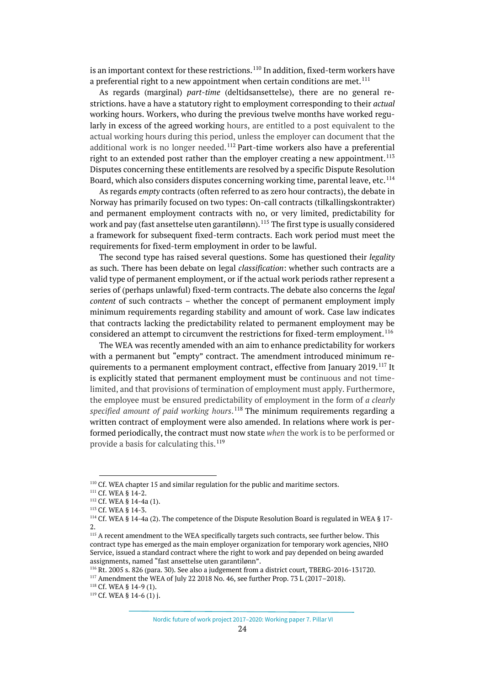is an important context for these restrictions.  $^{110}$  $^{110}$  $^{110}$  In addition, fixed-term workers have a preferential right to a new appointment when certain conditions are met.<sup>[111](#page-23-1)</sup>

As regards (marginal) *part-time* (deltidsansettelse), there are no general restrictions. have a have a statutory right to employment corresponding to their *actual* working hours. Workers, who during the previous twelve months have worked regularly in excess of the agreed working hours, are entitled to a post equivalent to the actual working hours during this period, unless the employer can document that the additional work is no longer needed.<sup>[112](#page-23-2)</sup> Part-time workers also have a preferential right to an extended post rather than the employer creating a new appointment.<sup>[113](#page-23-3)</sup> Disputes concerning these entitlements are resolved by a specific Dispute Resolution Board, which also considers disputes concerning working time, parental leave, etc.[114](#page-23-4)

As regards *empty* contracts (often referred to as zero hour contracts), the debate in Norway has primarily focused on two types: On-call contracts (tilkallingskontrakter) and permanent employment contracts with no, or very limited, predictability for work and pay (fast ansettelse uten garantilønn).<sup>[115](#page-23-5)</sup> The first type is usually considered a framework for subsequent fixed-term contracts. Each work period must meet the requirements for fixed-term employment in order to be lawful.

The second type has raised several questions. Some has questioned their *legality* as such. There has been debate on legal *classification*: whether such contracts are a valid type of permanent employment, or if the actual work periods rather represent a series of (perhaps unlawful) fixed-term contracts. The debate also concerns the *legal content* of such contracts – whether the concept of permanent employment imply minimum requirements regarding stability and amount of work. Case law indicates that contracts lacking the predictability related to permanent employment may be considered an attempt to circumvent the restrictions for fixed-term employment.  $^{116}$  $^{116}$  $^{116}$ 

The WEA was recently amended with an aim to enhance predictability for workers with a permanent but "empty" contract. The amendment introduced minimum re-quirements to a permanent employment contract, effective from January 2019.<sup>[117](#page-23-7)</sup> It is explicitly stated that permanent employment must be continuous and not timelimited, and that provisions of termination of employment must apply. Furthermore, the employee must be ensured predictability of employment in the form of *a clearly specified amount of paid working hours*. [118](#page-23-8) The minimum requirements regarding a written contract of employment were also amended. In relations where work is performed periodically, the contract must now state *when* the work is to be performed or provide a basis for calculating this.<sup>[119](#page-23-9)</sup>

<span id="page-23-8"></span><sup>118</sup> Cf. WEA § 14-9 (1).

<span id="page-23-1"></span><span id="page-23-0"></span><sup>&</sup>lt;sup>110</sup> Cf. WEA chapter 15 and similar regulation for the public and maritime sectors. <sup>111</sup> Cf. WEA § 14-2. **112** Cf. WEA § 14-4a (1).

<span id="page-23-4"></span><span id="page-23-3"></span><span id="page-23-2"></span><sup>&</sup>lt;sup>113</sup> Cf. WEA § 14-3.<br><sup>114</sup> Cf. WEA § 14-4a (2). The competence of the Dispute Resolution Board is regulated in WEA § 17-2.

<span id="page-23-5"></span><sup>&</sup>lt;sup>115</sup> A recent amendment to the WEA specifically targets such contracts, see further below. This contract type has emerged as the main employer organization for temporary work agencies, NHO Service, issued a standard contract where the right to work and pay depended on being awarded assignments, named "fast ansettelse uten garantilønn".

<span id="page-23-6"></span><sup>116</sup> Rt. 2005 s. 826 (para. 30). See also a judgement from a district court, TBERG-2016-131720.

<span id="page-23-7"></span><sup>117</sup> Amendment the WEA of July 22 2018 No. 46, see further Prop. 73 L (2017–2018).

<span id="page-23-9"></span><sup>119</sup> Cf. WEA § 14-6 (1) j.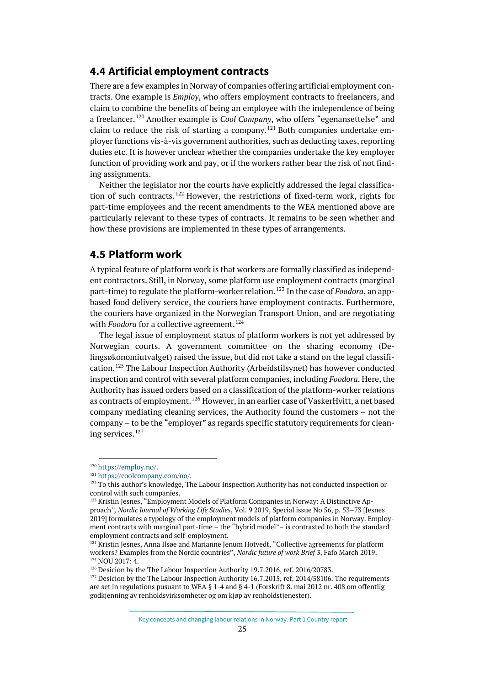#### <span id="page-24-0"></span>**4.4 Artificial employment contracts**

There are a few examples in Norway of companies offering artificial employment contracts. One example is *Employ*, who offers employment contracts to freelancers, and claim to combine the benefits of being an employee with the independence of being a freelancer.[120](#page-24-2) Another example is *Cool Company*, who offers "egenansettelse" and claim to reduce the risk of starting a company.<sup>[121](#page-24-3)</sup> Both companies undertake employer functions vis-à-vis government authorities, such as deducting taxes, reporting duties etc. It is however unclear whether the companies undertake the key employer function of providing work and pay, or if the workers rather bear the risk of not finding assignments.

Neither the legislator nor the courts have explicitly addressed the legal classification of such contracts. [122](#page-24-4) However, the restrictions of fixed-term work, rights for part-time employees and the recent amendments to the WEA mentioned above are particularly relevant to these types of contracts. It remains to be seen whether and how these provisions are implemented in these types of arrangements.

#### <span id="page-24-1"></span>**4.5 Platform work**

A typical feature of platform work is that workers are formally classified as independent contractors. Still, in Norway, some platform use employment contracts (marginal part-time) to regulate the platform-worker relation. [123](#page-24-5) In the case of *Foodora*, an appbased food delivery service, the couriers have employment contracts. Furthermore, the couriers have organized in the Norwegian Transport Union, and are negotiating with *Foodora* for a collective agreement.<sup>[124](#page-24-6)</sup>

The legal issue of employment status of platform workers is not yet addressed by Norwegian courts. A government committee on the sharing economy (Delingsøkonomiutvalget) raised the issue, but did not take a stand on the legal classification.[125](#page-24-7) The Labour Inspection Authority (Arbeidstilsynet) has however conducted inspection and control with several platform companies, including *Foodora*. Here, the Authority has issued orders based on a classification of the platform-worker relations as contracts of employment.<sup>[126](#page-24-8)</sup> However, in an earlier case of VaskerHyitt, a net based company mediating cleaning services, the Authority found the customers – not the company – to be the "employer" as regards specific statutory requirements for clean-ing services.<sup>[127](#page-24-9)</sup>

<span id="page-24-2"></span> <sup>120</sup> [https://employ.no/.](https://employ.no/)

<sup>121</sup> [https://coolcompany.com/no/.](https://coolcompany.com/no/)

<span id="page-24-4"></span><span id="page-24-3"></span> $122$  To this author's knowledge, The Labour Inspection Authority has not conducted inspection or control with such companies.

<span id="page-24-5"></span><sup>&</sup>lt;sup>123</sup> Kristin Jesnes, "Employment Models of Platform Companies in Norway: A Distinctive Approach*", Nordic Journal of Working Life Studies*, Vol. 9 2019, Special issue No 56, p. 53–73 [Jesnes 2019] formulates a typology of the employment models of platform companies in Norway. Employment contracts with marginal part-time – the "hybrid model"– is contrasted to both the standard employment contracts and self-employment.

<span id="page-24-6"></span> $124$  Kristin Jesnes, Anna Ilsøe and Marianne Jenum Hotvedt, "Collective agreements for platform workers? Examples from the Nordic countries", *Nordic future of work Brief 3*, Fafo March 2019.<br><sup>125</sup> NOU 2017: 4.<br><sup>126</sup> Desicion by the The Labour Inspection Authority 19.7.2016, ref. 2016/20783.

<span id="page-24-8"></span><span id="page-24-7"></span>

<span id="page-24-9"></span> $127$  Desicion by the The Labour Inspection Authority 16.7.2015, ref. 2014/58106. The requirements are set in regulations pusuant to WEA § 1-4 and § 4-1 (Forskrift 8. mai 2012 nr. 408 om offentlig godkjenning av renholdsvirksomheter og om kjøp av renholdstjenester).

Key concepts and changing labour relations in Norway. Part 1 Country report